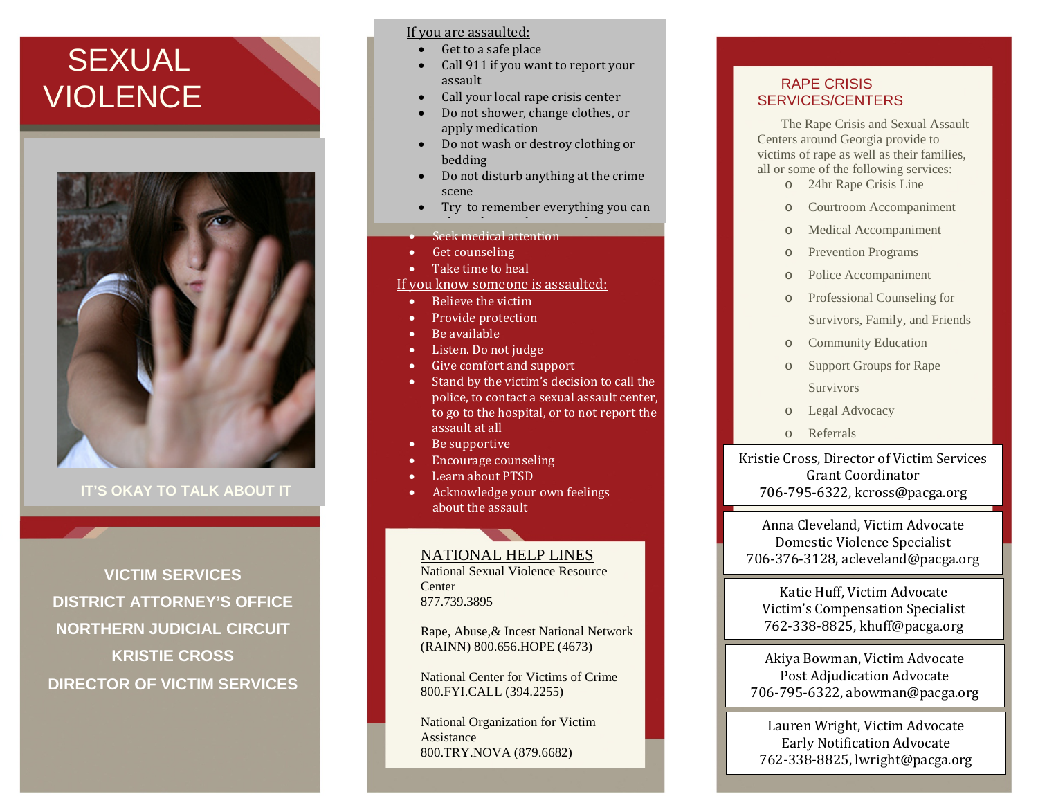# **SEXUAL VIOLENCE**



**IT'S OKAY TO TALK ABOUT IT**

**VICTIM SERVICES DISTRICT ATTORNEY'S OFFICE NORTHERN JUDICIAL CIRCUIT KRISTIE CROSS DIRECTOR OF VICTIM SERVICES**

#### If you are assaulted:

- Get to a safe place
- Call 911 if you want to report your assault
- Call your local rape crisis center
- Do not shower, change clothes, or apply medication
- Do not wash or destroy clothing or bedding
- Do not disturb anything at the crime scene
- Try to remember everything you can
- $\bullet$  Seek medical attention
- Get counseling
- Take time to heal
- If you know someone is assaulted:
	- Believe the victim
	- Provide protection
- Be available
- Listen. Do not judge
- Give comfort and support
- Stand by the victim's decision to call the police, to contact a sexual assault center, to go to the hospital, or to not report the assault at all
- Be supportive
- Encourage counseling
- Learn about PTSD
- Acknowledge your own feelings about the assault

## NATIONAL HELP LINES

National Sexual Violence Resource **Center** 877.739.3895

Rape, Abuse,& Incest National Network (RAINN) 800.656.HOPE (4673)

National Center for Victims of Crime 800.FYI.CALL (394.2255)

National Organization for Victim Assistance 800.TRY.NOVA (879.6682)

## RAPE CRISIS SERVICES/CENTERS

The Rape Crisis and Sexual Assault Centers around Georgia provide to victims of rape as well as their families, all or some of the following services:

- o 24hr Rape Crisis Line
- o Courtroom Accompaniment
- o Medical Accompaniment
- o Prevention Programs
- o Police Accompaniment
- o Professional Counseling for Survivors, Family, and Friends
- o Community Education
- o Support Groups for Rape Survivors
- o Legal Advocacy
- o Referrals

Kristie Cross, Director of Victim Services Grant Coordinator 706-795-6322, kcross@pacga.org

Anna Cleveland, Victim Advocate Domestic Violence Specialist 706-376-3128, acleveland@pacga.org

Katie Huff, Victim Advocate Victim's Compensation Specialist 762-338-8825, khuff@pacga.org

Akiya Bowman, Victim Advocate Post Adjudication Advocate 706-795-6322, abowman@pacga.org

Lauren Wright, Victim Advocate Early Notification Advocate 762-338-8825, lwright@pacga.org